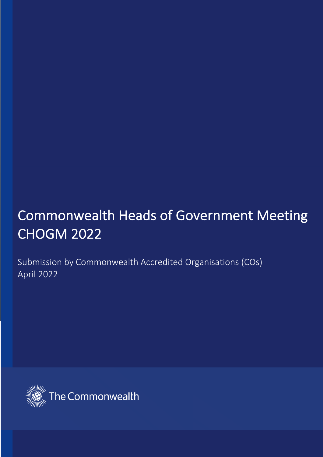# Commonwealth Heads of Government Meeting CHOGM 2022

Submission by Commonwealth Accredited Organisations (COs) April 2022

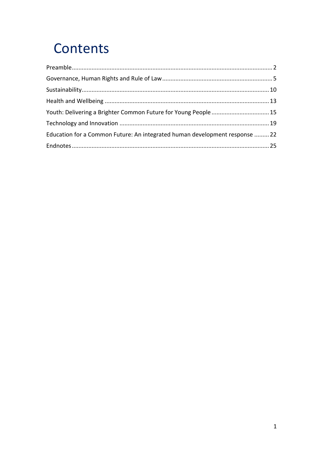# Contents

| Youth: Delivering a Brighter Common Future for Young People  15             |  |
|-----------------------------------------------------------------------------|--|
|                                                                             |  |
| Education for a Common Future: An integrated human development response  22 |  |
|                                                                             |  |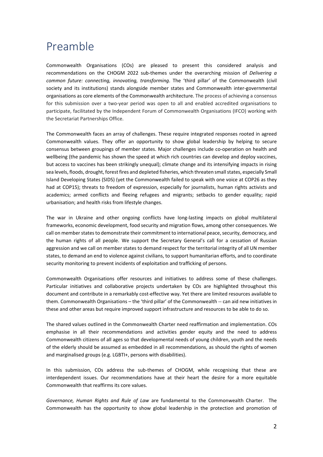### Preamble

Commonwealth Organisations (COs) are pleased to present this considered analysis and recommendations on the CHOGM 2022 sub-themes under the overarching mission of *Delivering a common future: connecting, innovating, transforming*. The 'third pillar' of the Commonwealth (civil society and its institutions) stands alongside member states and Commonwealth inter-governmental organisations as core elements of the Commonwealth architecture. The process of achieving a consensus for this submission over a two-year period was open to all and enabled accredited organisations to participate, facilitated by the Independent Forum of Commonwealth Organisations (IFCO) working with the Secretariat Partnerships Office.

The Commonwealth faces an array of challenges. These require integrated responses rooted in agreed Commonwealth values. They offer an opportunity to show global leadership by helping to secure consensus between groupings of member states. Major challenges include co-operation on health and wellbeing (the pandemic has shown the speed at which rich countries can develop and deploy vaccines, but access to vaccines has been strikingly unequal); climate change and its intensifying impacts in rising sea levels, floods, drought, forest fires and depleted fisheries, which threaten small states, especially Small Island Developing States (SIDS) (yet the Commonwealth failed to speak with one voice at COP26 as they had at COP15); threats to freedom of expression, especially for journalists, human rights activists and academics; armed conflicts and fleeing refugees and migrants; setbacks to gender equality; rapid urbanisation; and health risks from lifestyle changes.

The war in Ukraine and other ongoing conflicts have long-lasting impacts on global multilateral frameworks, economic development, food security and migration flows, among other consequences. We call on member states to demonstrate their commitment to international peace, security, democracy, and the human rights of all people. We support the Secretary General's call for a cessation of Russian aggression and we call on member states to demand respect for the territorial integrity of all UN member states, to demand an end to violence against civilians, to support humanitarian efforts, and to coordinate security monitoring to prevent incidents of exploitation and trafficking of persons.

Commonwealth Organisations offer resources and initiatives to address some of these challenges. Particular initiatives and collaborative projects undertaken by COs are highlighted throughout this document and contribute in a remarkably cost-effective way. Yet there are limited resources available to them. Commonwealth Organisations – the 'third pillar' of the Commonwealth -- can aid new initiatives in these and other areas but require improved support infrastructure and resources to be able to do so.

The shared values outlined in the Commonwealth Charter need reaffirmation and implementation. COs emphasise in all their recommendations and activities gender equity and the need to address Commonwealth citizens of all ages so that developmental needs of young children, youth and the needs of the elderly should be assumed as embedded in all recommendations, as should the rights of women and marginalised groups (e.g. LGBTI+, persons with disabilities).

In this submission, COs address the sub-themes of CHOGM, while recognising that these are interdependent issues. Our recommendations have at their heart the desire for a more equitable Commonwealth that reaffirms its core values.

*Governance, Human Rights and Rule of Law* are fundamental to the Commonwealth Charter. The Commonwealth has the opportunity to show global leadership in the protection and promotion of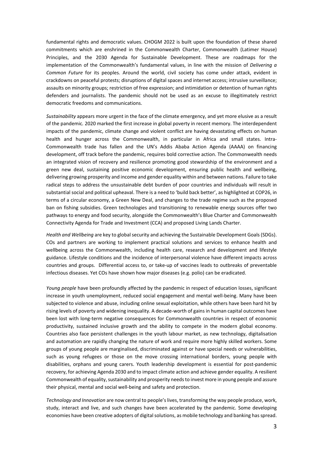fundamental rights and democratic values. CHOGM 2022 is built upon the foundation of these shared commitments which are enshrined in the Commonwealth Charter, Commonwealth (Latimer House) Principles, and the 2030 Agenda for Sustainable Development. These are roadmaps for the implementation of the Commonwealth's fundamental values, in line with the mission of *Delivering a Common Future* for its peoples. Around the world, civil society has come under attack, evident in crackdowns on peaceful protests; disruptions of digital spaces and internet access; intrusive surveillance; assaults on minority groups; restriction of free expression; and intimidation or detention of human rights defenders and journalists. The pandemic should not be used as an excuse to illegitimately restrict democratic freedoms and communications.

*Sustainability* appears more urgent in the face of the climate emergency, and yet more elusive as a result of the pandemic*.* 2020 marked the first increase in global poverty in recent memory. The interdependent impacts of the pandemic, climate change and violent conflict are having devastating effects on human health and hunger across the Commonwealth, in particular in Africa and small states. Intra-Commonwealth trade has fallen and the UN's Addis Ababa Action Agenda (AAAA) on financing development, off track before the pandemic, requires bold corrective action. The Commonwealth needs an integrated vision of recovery and resilience promoting good stewardship of the environment and a green new deal, sustaining positive economic development, ensuring public health and wellbeing, delivering growing prosperity and income and gender equality within and between nations. Failure to take radical steps to address the unsustainable debt burden of poor countries and individuals will result in substantial social and political upheaval. There is a need to 'build back better', as highlighted at COP26, in terms of a circular economy, a Green New Deal, and changes to the trade regime such as the proposed ban on fishing subsidies. Green technologies and transitioning to renewable energy sources offer two pathways to energy and food security, alongside the Commonwealth's Blue Charter and Commonwealth Connectivity Agenda for Trade and Investment (CCA) and proposed Living Lands Charter.

*Health and Wellbeing* are key to global security and achieving the Sustainable Development Goals (SDGs). COs and partners are working to implement practical solutions and services to enhance health and wellbeing across the Commonwealth, including health care, research and development and lifestyle guidance. Lifestyle conditions and the incidence of interpersonal violence have different impacts across countries and groups. Differential access to, or take-up of vaccines leads to outbreaks of preventable infectious diseases. Yet COs have shown how major diseases (e.g. polio) can be eradicated.

*Young people* have been profoundly affected by the pandemic in respect of education losses, significant increase in youth unemployment, reduced social engagement and mental well-being. Many have been subjected to violence and abuse, including online sexual exploitation, while others have been hard hit by rising levels of poverty and widening inequality. A decade-worth of gains in human capital outcomes have been lost with long-term negative consequences for Commonwealth countries in respect of economic productivity, sustained inclusive growth and the ability to compete in the modern global economy. Countries also face persistent challenges in the youth labour market, as new technology, digitalisation and automation are rapidly changing the nature of work and require more highly skilled workers. Some groups of young people are marginalised, discriminated against or have special needs or vulnerabilities, such as young refugees or those on the move crossing international borders, young people with disabilities, orphans and young carers. Youth leadership development is essential for post-pandemic recovery, for achieving Agenda 2030 and to impact climate action and achieve gender equality. A resilient Commonwealth of equality, sustainability and prosperity needs to invest more in young people and assure their physical, mental and social well-being and safety and protection.

*Technology and Innovation* are now central to people's lives, transforming the way people produce, work, study, interact and live, and such changes have been accelerated by the pandemic. Some developing economies have been creative adopters of digital solutions, as mobile technology and banking has spread.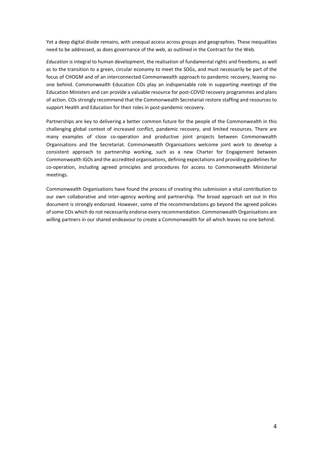Yet a deep digital divide remains, with unequal access across groups and geographies. These inequalities need to be addressed, as does governance of the web, as outlined in the Contract for the Web.

*Education* is integral to human development, the realisation of fundamental rights and freedoms, as well as to the transition to a green, circular economy to meet the SDGs, and must necessarily be part of the focus of CHOGM and of an interconnected Commonwealth approach to pandemic recovery, leaving noone behind. Commonwealth Education COs play an indispensable role in supporting meetings of the Education Ministers and can provide a valuable resource for post-COVID recovery programmes and plans of action. COs strongly recommend that the Commonwealth Secretariat restore staffing and resources to support Health and Education for their roles in post-pandemic recovery.

Partnerships are key to delivering a better common future for the people of the Commonwealth in this challenging global context of increased conflict, pandemic recovery, and limited resources. There are many examples of close co-operation and productive joint projects between Commonwealth Organisations and the Secretariat. Commonwealth Organisations welcome joint work to develop a consistent approach to partnership working, such as a new Charter for Engagement between Commonwealth IGOs and the accredited organisations, defining expectations and providing guidelines for co-operation, including agreed principles and procedures for access to Commonwealth Ministerial meetings.

Commonwealth Organisations have found the process of creating this submission a vital contribution to our own collaborative and inter-agency working and partnership. The broad approach set out in this document is strongly endorsed. However, some of the recommendations go beyond the agreed policies of some COs which do not necessarily endorse every recommendation. Commonwealth Organisations are willing partners in our shared endeavour to create a Commonwealth for all which leaves no one behind.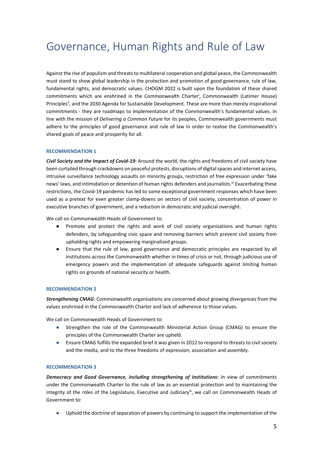## Governance, Human Rights and Rule of Law

Against the rise of populism and threats to multilateral cooperation and global peace, the Commonwealth must stand to show global leadership in the protection and promotion of good governance, rule of law, fundamental rights, and democratic values. CHOGM 2022 is built upon the foundation of these shared commitments which are enshrined in the Commonwealth Charteri , Commonwealth (Latimer House) Principlesii, and the 2030 Agenda for Sustainable Development. These are more than merely inspirational commitments - they are roadmaps to implementation of the Commonwealth's fundamental values. In line with the mission of *Delivering a Common Future* for its peoples, Commonwealth governments must adhere to the principles of good governance and rule of law in order to realise the Commonwealth's shared goals of peace and prosperity for all.

#### **RECOMMENDATION 1**

*Civil Society and the Impact of Covid-19***:** Around the world, the rights and freedoms of civil society have been curtailed through crackdowns on peaceful protests, disruptions of digital spaces and internet access, intrusive surveillance technology assaults on minority groups, restriction of free expression under 'fake news' laws, and intimidation or detention of human rights defenders and journalists.<sup>iii</sup> Exacerbating these restrictions, the Covid-19 pandemic has led to some exceptional government responses which have been used as a pretext for even greater clamp-downs on sectors of civil society, concentration of power in executive branches of government, and a reduction in democratic and judicial oversight.

We call on Commonwealth Heads of Government to:

- Promote and protect the rights and work of civil society organisations and human rights defenders, by safeguarding civic space and removing barriers which prevent civil society from upholding rights and empowering marginalised groups.
- Ensure that the rule of law, good governance and democratic principles are respected by all institutions across the Commonwealth whether in times of crisis or not, through judicious use of emergency powers and the implementation of adequate safeguards against limiting human rights on grounds of national security or health.

#### **RECOMMENDATION 2**

*Strengthening CMAG***:** Commonwealth organisations are concerned about growing divergences from the values enshrined in the Commonwealth Charter and lack of adherence to those values.

We call on Commonwealth Heads of Government to:

- Strengthen the role of the Commonwealth Ministerial Action Group (CMAG) to ensure the principles of the Commonwealth Charter are upheld.
- Ensure CMAG fulfills the expanded brief it was given in 2012 to respond to threats to civil society and the media, and to the three freedoms of expression, association and assembly.

#### **RECOMMENDATION 3**

*Democracy and Good Governance, including strengthening of institutions***:** In view of commitments under the Commonwealth Charter to the rule of law as an essential protection and to maintaining the integrity of the roles of the Legislature, Executive and Judiciary<sup>iv</sup>, we call on Commonwealth Heads of Government to:

Uphold the doctrine of separation of powers by continuing to support the implementation of the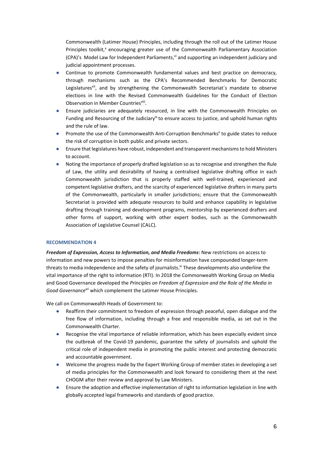Commonwealth (Latimer House) Principles, including through the roll out of the Latimer House Principles toolkit,<sup>v</sup> encouraging greater use of the Commonwealth Parliamentary Association (CPA)'s Model Law for Independent Parliaments, $y_i$  and supporting an independent judiciary and judicial appointment processes.

- Continue to promote Commonwealth fundamental values and best practice on democracy, through mechanisms such as the CPA's Recommended Benchmarks for Democratic Legislatures<sup>vii</sup>, and by strengthening the Commonwealth Secretariat's mandate to observe elections in line with the Revised Commonwealth Guidelines for the Conduct of Election Observation in Member Countriesviii.
- Ensure judiciaries are adequately resourced, in line with the Commonwealth Principles on Funding and Resourcing of the Judiciary<sup>ix</sup> to ensure access to justice, and uphold human rights and the rule of law.
- Promote the use of the Commonwealth Anti-Corruption Benchmarks<sup>x</sup> to guide states to reduce the risk of corruption in both public and private sectors.
- Ensure that legislatures have robust, independent and transparent mechanisms to hold Ministers to account.
- Noting the importance of properly drafted legislation so as to recognise and strengthen the Rule of Law, the utility and desirability of having a centralised legislative drafting office in each Commonwealth jurisdiction that is properly staffed with well-trained, experienced and competent legislative drafters, and the scarcity of experienced legislative drafters in many parts of the Commonwealth, particularly in smaller jurisdictions; ensure that the Commonwealth Secretariat is provided with adequate resources to build and enhance capability in legislative drafting through training and development programs, mentorship by experienced drafters and other forms of support, working with other expert bodies, such as the Commonwealth Association of Legislative Counsel (CALC).

#### **RECOMMENDATION 4**

*Freedom of Expression, Access to Information, and Media Freedoms***:** New restrictions on access to information and new powers to impose penalties for misinformation have compounded longer-term threats to media independence and the safety of journalists.<sup>xi</sup> These developments also underline the vital importance of the right to information (RTI). In 2018 the Commonwealth Working Group on Media and Good Governance developed the *Principles on Freedom of Expression and the Role of the Media in Good Governancexii* which complement the Latimer House Principles.

We call on Commonwealth Heads of Government to:

- Reaffirm their commitment to freedom of expression through peaceful, open dialogue and the free flow of information, including through a free and responsible media, as set out in the Commonwealth Charter.
- Recognise the vital importance of reliable information, which has been especially evident since the outbreak of the Covid-19 pandemic, guarantee the safety of journalists and uphold the critical role of independent media in promoting the public interest and protecting democratic and accountable government.
- Welcome the progress made by the Expert Working Group of member states in developing a set of media principles for the Commonwealth and look forward to considering them at the next CHOGM after their review and approval by Law Ministers.
- Ensure the adoption and effective implementation of right to information legislation in line with globally accepted legal frameworks and standards of good practice.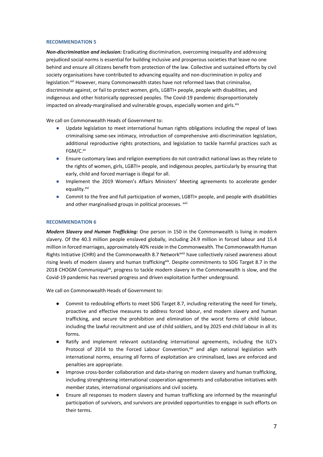*Non-discrimination and inclusion:* Eradicating discrimination, overcoming inequality and addressing prejudiced social norms is essential for building inclusive and prosperous societies that leave no one behind and ensure all citizens benefit from protection of the law. Collective and sustained efforts by civil society organisations have contributed to advancing equality and non-discrimination in policy and legislation.<sup>xiii</sup> However, many Commonwealth states have not reformed laws that criminalise, discriminate against, or fail to protect women, girls, LGBTI+ people, people with disabilities, and indigenous and other historically oppressed peoples. The Covid-19 pandemic disproportionately impacted on already-marginalised and vulnerable groups, especially women and girls. $x^{xy}$ 

We call on Commonwealth Heads of Government to:

- Update legislation to meet international human rights obligations including the repeal of laws criminalising same-sex intimacy, introduction of comprehensive anti-discrimination legislation, additional reproductive rights protections, and legislation to tackle harmful practices such as FGM/C.<sup>xv</sup>
- Ensure customary laws and religion exemptions do not contradict national laws as they relate to the rights of women, girls, LGBTI+ people, and indigenous peoples, particularly by ensuring that early, child and forced marriage is illegal for all.
- Implement the 2019 Women's Affairs Ministers' Meeting agreements to accelerate gender equality.<sup>xvi</sup>
- Commit to the free and full participation of women, LGBTI+ people, and people with disabilities and other marginalised groups in political processes. xvii

#### **RECOMMENDATION 6**

*Modern Slavery and Human Trafficking:* One person in 150 in the Commonwealth is living in modern slavery. Of the 40.3 million people enslaved globally, including 24.9 million in forced labour and 15.4 million in forced marriages, approximately 40% reside in the Commonwealth. The Commonwealth Human Rights Initiative (CHRI) and the Commonwealth 8.7 Network<sup>xviii</sup> have collectively raised awareness about rising levels of modern slavery and human traffickingxix. Despite commitments to SDG Target 8.7 in the 2018 CHOGM Communiqué<sup>xx</sup>, progress to tackle modern slavery in the Commonwealth is slow, and the Covid-19 pandemic has reversed progress and driven exploitation further underground.

We call on Commonwealth Heads of Government to:

- Commit to redoubling efforts to meet SDG Target 8.7, including reiterating the need for timely, proactive and effective measures to address forced labour, end modern slavery and human trafficking, and secure the prohibition and elimination of the worst forms of child labour, including the lawful recruitment and use of child soldiers, and by 2025 end child labour in all its forms.
- Ratify and implement relevant outstanding international agreements, including the ILO's Protocol of 2014 to the Forced Labour Convention, $x^{xi}$  and align national legislation with international norms, ensuring all forms of exploitation are criminalised, laws are enforced and penalties are appropriate.
- Improve cross-border collaboration and data-sharing on modern slavery and human trafficking, including strenghtening international cooperation agreements and collaborative initiatives with member states, international organisations and civil society.
- Ensure all responses to modern slavery and human trafficking are informed by the meaningful participation of survivors, and survivors are provided opportunities to engage in such efforts on their terms.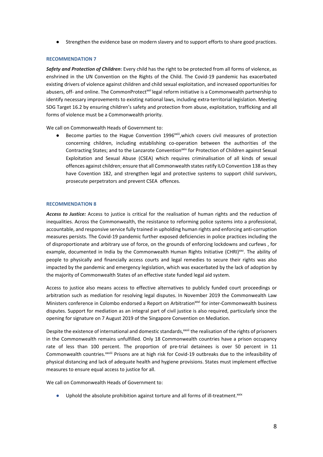● Strengthen the evidence base on modern slavery and to support efforts to share good practices.

#### **RECOMMENDATION 7**

*Safety and Protection of Children***:** Every child has the right to be protected from all forms of violence, as enshrined in the UN Convention on the Rights of the Child. The Covid-19 pandemic has exacerbated existing drivers of violence against children and child sexual exploitation, and increased opportunities for abusers, off- and online. The CommonProtect<sup>xxii</sup> legal reform initiative is a Commonwealth partnership to identify necessary improvements to existing national laws, including extra-territorial legislation. Meeting SDG Target 16.2 by ensuring children's safety and protection from abuse, exploitation, trafficking and all forms of violence must be a Commonwealth priority.

We call on Commonwealth Heads of Government to:

Become parties to the Hague Convention 1996xxiii, which covers civil measures of protection concerning children, including establishing co-operation between the authorities of the Contracting States; and to the Lanzarote Convention<sup>xxiv</sup> for Protection of Children against Sexual Exploitation and Sexual Abuse (CSEA) which requires criminalisation of all kinds of sexual offences against children; ensure that all Commonwealth states ratify ILO Convention 138 as they have Covention 182, and strengthen legal and protective systems to support child survivors, prosecute perpetrators and prevent CSEA offences.

#### **RECOMMENDATION 8**

*Access to Justice:* Access to justice is critical for the realisation of human rights and the reduction of inequalities. Across the Commonwealth, the resistance to reforming police systems into a professional, accountable, and responsive service fully trained in upholding human rights and enforcing anti-corruption measures persists. The Covid-19 pandemic further exposed deficiencies in police practices including the of disproportionate and arbitrary use of force, on the grounds of enforcing lockdowns and curfews , for example, documented in India by the Commonwealth Human Rights Initiative (CHRI)<sup>xxv</sup>. The ability of people to physically and financially access courts and legal remedies to secure their rights was also impacted by the pandemic and emergency legislation, which was exacerbated by the lack of adoption by the majority of Commonwealth States of an effective state funded legal aid system.

Access to justice also means access to effective alternatives to publicly funded court proceedings or arbitration such as mediation for resolving legal disputes. In November 2019 the Commonwealth Law Ministers conference in Colombo endorsed a Report on Arbitration<sup>xxvi</sup> for inter-Commonwealth business disputes. Support for mediation as an integral part of civil justice is also required, particularly since the opening for signature on 7 August 2019 of the Singapore Convention on Mediation.

Despite the existence of international and domestic standards,<sup>xxvii</sup> the realisation of the rights of prisoners in the Commonwealth remains unfulfilled. Only 18 Commonwealth countries have a prison occupancy rate of less than 100 percent. The proportion of pre-trial detainees is over 50 percent in 11 Commonwealth countries.<sup>xxviii</sup> Prisons are at high risk for Covid-19 outbreaks due to the infeasibility of physical distancing and lack of adequate health and hygiene provisions. States must implement effective measures to ensure equal access to justice for all.

We call on Commonwealth Heads of Government to:

 $\bullet$  Uphold the absolute prohibition against torture and all forms of ill-treatment. $x$ ix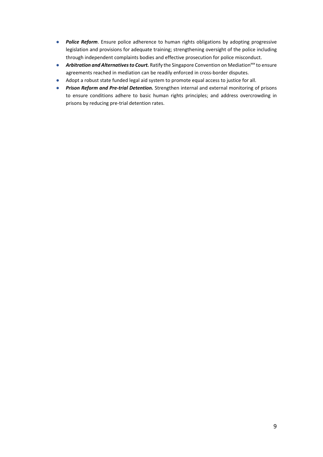- *Police Reform*. Ensure police adherence to human rights obligations by adopting progressive legislation and provisions for adequate training; strengthening oversight of the police including through independent complaints bodies and effective prosecution for police misconduct.
- **Arbitration and Alternatives to Court.** Ratify the Singapore Convention on Mediation<sup>xxx</sup> to ensure agreements reached in mediation can be readily enforced in cross-border disputes.
- Adopt a robust state funded legal aid system to promote equal access to justice for all.
- *Prison Reform and Pre-trial Detention.* Strengthen internal and external monitoring of prisons to ensure conditions adhere to basic human rights principles; and address overcrowding in prisons by reducing pre-trial detention rates.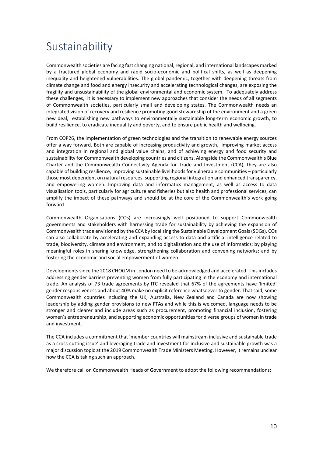### Sustainability

Commonwealth societies are facing fast changing national, regional, and international landscapes marked by a fractured global economy and rapid socio-economic and political shifts, as well as deepening inequality and heightened vulnerabilities. The global pandemic, together with deepening threats from climate change and food and energy insecurity and accelerating technological changes, are exposing the fragility and unsustainability of the global environmental and economic system. To adequately address these challenges, it is necessary to implement new approaches that consider the needs of all segments of Commonwealth societies, particularly small and developing states. The Commonwealth needs an integrated vision of recovery and resilience promoting good stewardship of the environment and a green new deal, establishing new pathways to environmentally sustainable long-term economic growth, to build resilience, to eradicate inequality and poverty, and to ensure public health and wellbeing.

From COP26, the implementation of green technologies and the transition to renewable energy sources offer a way forward. Both are capable of increasing productivity and growth, improving market access and integration in regional and global value chains, and of achieving energy and food security and sustainability for Commonwealth developing countries and citizens. Alongside the Commonwealth's Blue Charter and the Commonwealth Connectivity Agenda for Trade and Investment (CCA), they are also capable of building resilience, improving sustainable livelihoods for vulnerable communities – particularly those most dependent on natural resources, supporting regional integration and enhanced transparency, and empowering women. Improving data and informatics management, as well as access to data visualisation tools, particularly for agriculture and fisheries but also health and professional services, can amplify the impact of these pathways and should be at the core of the Commonwealth's work going forward.

Commonwealth Organisations (COs) are increasingly well positioned to support Commonwealth governments and stakeholders with harnessing trade for sustainability by achieving the expansion of Commonwealth trade envisioned by the CCA by localising the Sustainable Development Goals (SDGs). COs can also collaborate by accelerating and expanding access to data and artificial intelligence related to trade, biodiversity, climate and environment, and to digitalization and the use of informatics; by playing meaningful roles in sharing knowledge, strengthening collaboration and convening networks; and by fostering the economic and social empowerment of women.

Developments since the 2018 CHOGM in London need to be acknowledged and accelerated. This includes addressing gender barriers preventing women from fully participating in the economy and international trade. An analysis of 73 trade agreements by ITC revealed that 67% of the agreements have 'limited' gender responsiveness and about 40% make no explicit reference whatsoever to gender. That said, some Commonwealth countries including the UK, Australia, New Zealand and Canada are now showing leadership by adding gender provisions to new FTAs and while this is welcomed, language needs to be stronger and clearer and include areas such as procurement, promoting financial inclusion, fostering women's entrepreneurship, and supporting economic opportunities for diverse groups of women in trade and investment.

The CCA includes a commitment that 'member countries will mainstream inclusive and sustainable trade as a cross-cutting issue' and leveraging trade and investment for inclusive and sustainable growth was a major discussion topic at the 2019 Commonwealth Trade Ministers Meeting. However, it remains unclear how the CCA is taking such an approach.

We therefore call on Commonwealth Heads of Government to adopt the following recommendations: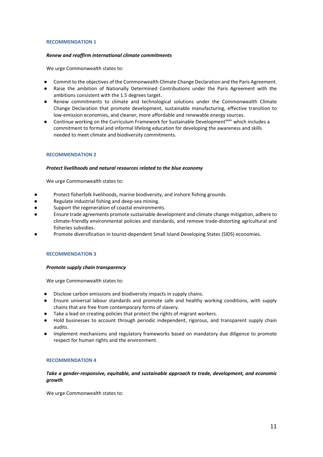#### *Renew and reaffirm international climate commitments*

We urge Commonwealth states to:

- Commit to the objectives of the Commonwealth Climate Change Declaration and the Paris Agreement.
- Raise the ambition of Nationally Determined Contributions under the Paris Agreement with the ambitions consistent with the 1.5 degrees target.
- Renew commitments to climate and technological solutions under the Commonwealth Climate Change Declaration that promote development, sustainable manufacturing, effective transition to low-emission economies, and cleaner, more affordable and renewable energy sources.
- Continue working on the Curriculum Framework for Sustainable Development<sup>xxxi</sup>' which includes a commitment to formal and informal lifelong education for developing the awareness and skills needed to meet climate and biodiversity commitments.

#### **RECOMMENDATION 2**

#### *Protect livelihoods and natural resources related to the blue economy*

We urge Commonwealth states to:

- Protect fisherfolk livelihoods, marine biodiversity, and inshore fishing grounds.
- Regulate industrial fishing and deep-sea mining.
- Support the regeneration of coastal environments.
- Ensure trade agreements promote sustainable development and climate change mitigation, adhere to climate-friendly environmental policies and standards, and remove trade-distorting agricultural and fisheries subsidies.
- Promote diversification in tourist-dependent Small Island Developing States (SIDS) economies.

#### **RECOMMENDATION 3**

#### *Promote supply chain transparency*

We urge Commonwealth states to:

- Disclose carbon emissions and biodiversity impacts in supply chains.
- Ensure universal labour standards and promote safe and healthy working conditions, with supply chains that are free from contemporary forms of slavery.
- Take a lead on creating policies that protect the rights of migrant workers.
- Hold businesses to account through periodic independent, rigorous, and transparent supply chain audits.
- Implement mechanisms and regulatory frameworks based on mandatory due diligence to promote respect for human rights and the environment.

#### **RECOMMENDATION 4**

#### *Take a gender-responsive, equitable, and sustainable approach to trade, development, and economic growth*

We urge Commonwealth states to: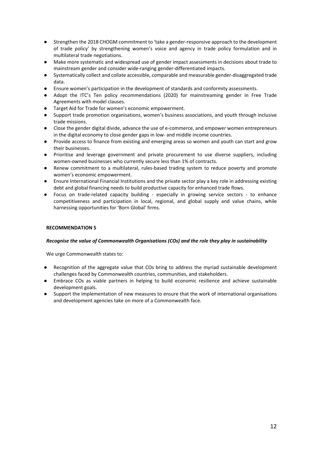- Strengthen the 2018 CHOGM commitment to 'take a gender-responsive approach to the development of trade policy' by strengthening women's voice and agency in trade policy formulation and in multilateral trade negotiations.
- Make more systematic and widespread use of gender impact assessments in decisions about trade to mainstream gender and consider wide-ranging gender-differentiated impacts.
- Systematically collect and collate accessible, comparable and measurable gender-disaggregated trade data.
- Ensure women's participation in the development of standards and conformity assessments.
- Adopt the ITC's Ten policy recommendations (2020) for mainstreaming gender in Free Trade Agreements with model clauses.
- Target Aid for Trade for women's economic empowerment.
- Support trade promotion organisations, women's business associations, and youth through inclusive trade missions.
- Close the gender digital divide, advance the use of e-commerce, and empower women entrepreneurs in the digital economy to close gender gaps in low- and middle income countries.
- Provide access to finance from existing and emerging areas so women and youth can start and grow their businesses.
- Prioritise and leverage government and private procurement to use diverse suppliers, including women-owned businesses who currently secure less than 1% of contracts.
- Renew commitment to a multilateral, rules-based trading system to reduce poverty and promote women's economic empowerment.
- Ensure International Financial Institutions and the private sector play a key role in addressing existing debt and global financing needs to build productive capacity for enhanced trade flows.
- Focus on trade-related capacity building especially in growing service sectors to enhance competitiveness and participation in local, regional, and global supply and value chains, while harnessing opportunities for 'Born Global' firms.

#### *Recognise the value of Commonwealth Organisations (COs) and the role they play in sustainability*

We urge Commonwealth states to:

- Recognition of the aggregate value that COs bring to address the myriad sustainable development challenges faced by Commonwealth countries, communities, and stakeholders.
- Embrace COs as viable partners in helping to build economic resilience and achieve sustainable development goals.
- Support the implementation of new measures to ensure that the work of international organisations and development agencies take on more of a Commonwealth face.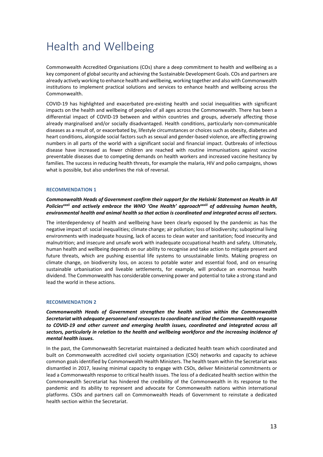# Health and Wellbeing

Commonwealth Accredited Organisations (COs) share a deep commitment to health and wellbeing as a key component of global security and achieving the Sustainable Development Goals. COs and partners are already actively working to enhance health and wellbeing, working together and also with Commonwealth institutions to implement practical solutions and services to enhance health and wellbeing across the Commonwealth.

COVID-19 has highlighted and exacerbated pre-existing health and social inequalities with significant impacts on the health and wellbeing of peoples of all ages across the Commonwealth. There has been a differential impact of COVID-19 between and within countries and groups, adversely affecting those already marginalised and/or socially disadvantaged. Health conditions, particularly non-communicable diseases as a result of, or exacerbated by, lifestyle circumstances or choices such as obesity, diabetes and heart conditions, alongside social factors such as sexual and gender-based violence, are affecting growing numbers in all parts of the world with a significant social and financial impact. Outbreaks of infectious disease have increased as fewer children are reached with routine immunisations against vaccine preventable diseases due to competing demands on health workers and increased vaccine hesitancy by families. The success in reducing health threats, for example the malaria, HIV and polio campaigns, shows what is possible, but also underlines the risk of reversal.

#### **RECOMMENDATION 1**

*Commonwealth Heads of Government confirm their support for the Helsinki Statement on Health in All Policiesxxxii and actively embrace the WHO 'One Health' approachxxxiii of addressing human health, environmental health and animal health so that action is coordinated and integrated across all sectors.*

The interdependency of health and wellbeing have been clearly exposed by the pandemic as has the negative impact of: social inequalities; climate change; air pollution; loss of biodiversity; suboptimal living environments with inadequate housing, lack of access to clean water and sanitation; food insecurity and malnutrition; and insecure and unsafe work with inadequate occupational health and safety. Ultimately, human health and wellbeing depends on our ability to recognise and take action to mitigate present and future threats, which are pushing essential life systems to unsustainable limits. Making progress on climate change, on biodiversity loss, on access to potable water and essential food, and on ensuring sustainable urbanisation and liveable settlements, for example, will produce an enormous health dividend. The Commonwealth has considerable convening power and potential to take a strong stand and lead the world in these actions.

#### **RECOMMENDATION 2**

*Commonwealth Heads of Government strengthen the health section within the Commonwealth Secretariat with adequate personnel and resources to coordinate and lead the Commonwealth response to COVID-19 and other current and emerging health issues, coordinated and integrated across all sectors, particularly in relation to the health and wellbeing workforce and the increasing incidence of mental health issues.* 

In the past, the Commonwealth Secretariat maintained a dedicated health team which coordinated and built on Commonwealth accredited civil society organisation (CSO) networks and capacity to achieve common goals identified by Commonwealth Health Ministers. The health team within the Secretariat was dismantled in 2017, leaving minimal capacity to engage with CSOs, deliver Ministerial commitments or lead a Commonwealth response to critical health issues. The loss of a dedicated health section within the Commonwealth Secretariat has hindered the credibility of the Commonwealth in its response to the pandemic and its ability to represent and advocate for Commonwealth nations within international platforms. CSOs and partners call on Commonwealth Heads of Government to reinstate a dedicated health section within the Secretariat.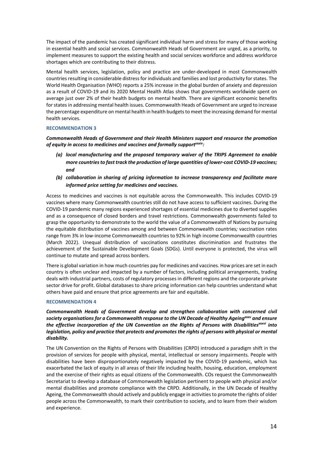The impact of the pandemic has created significant individual harm and stress for many of those working in essential health and social services. Commonwealth Heads of Government are urged, as a priority, to implement measures to support the existing health and social services workforce and address workforce shortages which are contributing to their distress.

Mental health services, legislation, policy and practice are under-developed in most Commonwealth countries resulting in considerable distress for individuals and families and lost productivity for states. The World Health Organisation (WHO) reports a 25% increase in the global burden of anxiety and depression as a result of COVID-19 and its 2020 Mental Health Atlas shows that governments worldwide spent on average just over 2% of their health budgets on mental health. There are significant economic benefits for states in addressing mental health issues. Commonwealth Heads of Government are urged to increase the percentage expenditure on mental health in health budgets to meet the increasing demand for mental health services.

#### **RECOMMENDATION 3**

*Commonwealth Heads of Government and their Health Ministers support and resource the promotion of equity in access to medicines and vaccines and formally supportxxxiv:*

- *(a) local manufacturing and the proposed temporary waiver of the TRIPS Agreement to enable more countries to fast track the production of large quantities of lower-cost COVID-19 vaccines; and*
- *(b) collaboration in sharing of pricing information to increase transparency and facilitate more informed price setting for medicines and vaccines.*

Access to medicines and vaccines is not equitable across the Commonwealth. This includes COVID-19 vaccines where many Commonwealth countries still do not have access to sufficient vaccines. During the COVID-19 pandemic many regions experienced shortages of essential medicines due to diverted supplies and as a consequence of closed borders and travel restrictions. Commonwealth governments failed to grasp the opportunity to demonstrate to the world the value of a Commonwealth of Nations by pursuing the equitable distribution of vaccines among and between Commonwealth countries*;* vaccination rates range from 3% in low-income Commonwealth countries to 92% in high income Commonwealth countries (March 2022). Unequal distribution of vaccinations constitutes discrimination and frustrates the achievement of the Sustainable Development Goals (SDGs). Until everyone is protected, the virus will continue to mutate and spread across borders.

There is global variation in how much countries pay for medicines and vaccines. How prices are set in each country is often unclear and impacted by a number of factors, including political arrangements, trading deals with industrial partners, costs of regulatory processes in different regions and the corporate private sector drive for profit. Global databases to share pricing information can help countries understand what others have paid and ensure that price agreements are fair and equitable.

#### **RECOMMENDATION 4**

*Commonwealth Heads of Government develop and strengthen collaboration with concerned civil society organisations for a Commonwealth response to the UN Decade of Healthy Ageingxxxv and ensure the effective incorporation of the UN Convention on the Rights of Persons with Disabilitiesxxxvi into legislation, policy and practice that protects and promotes the rights of persons with physical or mental disability.*

The UN Convention on the Rights of Persons with Disabilities (CRPD) introduced a paradigm shift in the provision of services for people with physical, mental, intellectual or sensory impairments. People with disabilities have been disproportionately negatively impacted by the COVID-19 pandemic, which has exacerbated the lack of equity in all areas of their life including health, housing, education, employment and the exercise of their rights as equal citizens of the Commonwealth. COs request the Commonwealth Secretariat to develop a database of Commonwealth legislation pertinent to people with physical and/or mental disabilities and promote compliance with the CRPD. Additionally, in the UN Decade of Healthy Ageing, the Commonwealth should actively and publicly engage in activities to promote the rights of older people across the Commonwealth, to mark their contribution to society, and to learn from their wisdom and experience.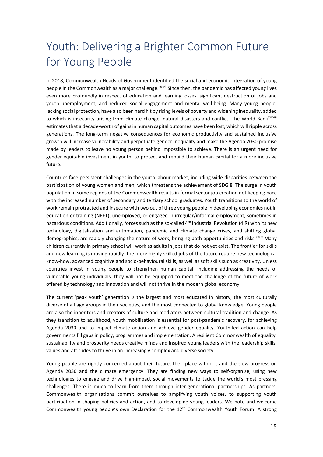# Youth: Delivering a Brighter Common Future for Young People

In 2018, Commonwealth Heads of Government identified the social and economic integration of young people in the Commonwealth as a major challenge.<sup>xxxvii</sup> Since then, the pandemic has affected young lives even more profoundly in respect of education and learning losses, significant destruction of jobs and youth unemployment, and reduced social engagement and mental well-being. Many young people, lacking social protection, have also been hard hit by rising levels of poverty and widening inequality, added to which is insecurity arising from climate change, natural disasters and conflict. The World Bank<sup>xxxviii</sup> estimates that a decade-worth of gains in human capital outcomes have been lost, which will ripple across generations. The long-term negative consequences for economic productivity and sustained inclusive growth will increase vulnerability and perpetuate gender inequality and make the Agenda 2030 promise made by leaders to leave no young person behind impossible to achieve. There is an urgent need for gender equitable investment in youth, to protect and rebuild their human capital for a more inclusive future.

Countries face persistent challenges in the youth labour market, including wide disparities between the participation of young women and men, which threatens the achievement of SDG 8. The surge in youth population in some regions of the Commonwealth results in formal sector job creation not keeping pace with the increased number of secondary and tertiary school graduates. Youth transitions to the world of work remain protracted and insecure with two out of three young people in developing economies not in education or training (NEET), unemployed, or engaged in irregular/informal employment, sometimes in hazardous conditions. Additionally, forces such as the so-called 4<sup>th</sup> Industrial Revolution (4IR) with its new technology, digitalisation and automation, pandemic and climate change crises, and shifting global demographics, are rapidly changing the nature of work, bringing both opportunities and risks.<sup>xxxix</sup> Many children currently in primary school will work as adults in jobs that do not yet exist. The frontier for skills and new learning is moving rapidly: the more highly skilled jobs of the future require new technological know-how, advanced cognitive and socio-behavioural skills, as well as soft skills such as creativity. Unless countries invest in young people to strengthen human capital, including addressing the needs of vulnerable young individuals, they will not be equipped to meet the challenge of the future of work offered by technology and innovation and will not thrive in the modern global economy.

The current 'peak youth' generation is the largest and most educated in history, the most culturally diverse of all age groups in their societies, and the most connected to global knowledge. Young people are also the inheritors and creators of culture and mediators between cultural tradition and change. As they transition to adulthood, youth mobilisation is essential for post-pandemic recovery, for achieving Agenda 2030 and to impact climate action and achieve gender equality. Youth-led action can help governments fill gaps in policy, programmes and implementation. A resilient Commonwealth of equality, sustainability and prosperity needs creative minds and inspired young leaders with the leadership skills, values and attitudes to thrive in an increasingly complex and diverse society.

Young people are rightly concerned about their future, their place within it and the slow progress on Agenda 2030 and the climate emergency. They are finding new ways to self-organise, using new technologies to engage and drive high-impact social movements to tackle the world's most pressing challenges. There is much to learn from them through inter-generational partnerships. As partners, Commonwealth organisations commit ourselves to amplifying youth voices, to supporting youth participation in shaping policies and action, and to developing young leaders. We note and welcome Commonwealth young people's own Declaration for the 12<sup>th</sup> Commonwealth Youth Forum. A strong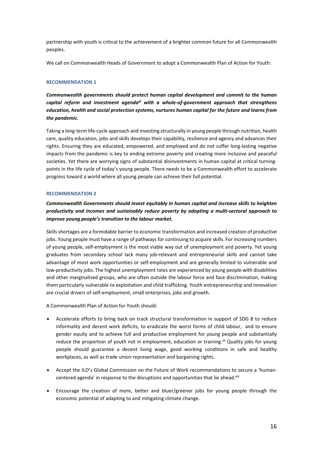partnership with youth is critical to the achievement of a brighter common future for all Commonwealth peoples.

We call on Commonwealth Heads of Government to adopt a Commonwealth Plan of Action for Youth:

#### **RECOMMENDATION 1**

*Commonwealth governments should protect human capital development and commit to the human capital reform and investment agendaxl with a whole-of-government approach that strengthens education, health and social protection systems, nurtures human capital for the future and learns from the pandemic.* 

Taking a long-term life-cycle approach and investing structurally in young people through nutrition, health care, quality education, jobs and skills develops their capability, resilience and agency and advances their rights. Ensuring they are educated, empowered, and employed and do not suffer long-lasting negative impacts from the pandemic is key to ending extreme poverty and creating more inclusive and peaceful societies. Yet there are worrying signs of substantial disinvestments in human capital at critical turningpoints in the life cycle of today's young people. There needs to be a Commonwealth effort to accelerate progress toward a world where all young people can achieve their full potential.

#### **RECOMMENDATION 2**

*Commonwealth Governments should invest equitably in human capital and increase skills to heighten productivity and incomes and sustainably reduce poverty by adopting a multi-sectoral approach to improve young people's transition to the labour market.*

Skills shortages are a formidable barrier to economic transformation and increased creation of productive jobs. Young people must have a range of pathways for continuing to acquire skills. For increasing numbers of young people, self-employment is the most viable way out of unemployment and poverty. Yet young graduates from secondary school lack many job-relevant and entrepreneurial skills and cannot take advantage of most work opportunities or self-employment and are generally limited to vulnerable and low-productivity jobs. The highest unemployment rates are experienced by young people with disabilities and other marginalised groups, who are often outside the labour force and face discrimination, making them particularly vulnerable to exploitation and child trafficking. Youth entrepreneurship and innovation are crucial drivers of self-employment, small enterprises, jobs and growth.

A Commonwealth Plan of Action for Youth should:

- Accelerate efforts to bring back on track structural transformation in support of SDG 8 to reduce informality and decent work deficits, to eradicate the worst forms of child labour, and to ensure gender equity and to achieve full and productive employment for young people and substantially reduce the proportion of youth not in employment, education or training.<sup>xli</sup> Quality jobs for young people should guarantee a decent living wage, good working conditions in safe and healthy workplaces, as well as trade union representation and bargaining rights.
- Accept the ILO's Global Commission on the Future of Work recommendations to secure a 'humancentered agenda' in response to the disruptions and opportunities that lie ahead.<sup>xlii</sup>
- Encourage the creation of more, better and bluer/greener jobs for young people through the economic potential of adapting to and mitigating climate change.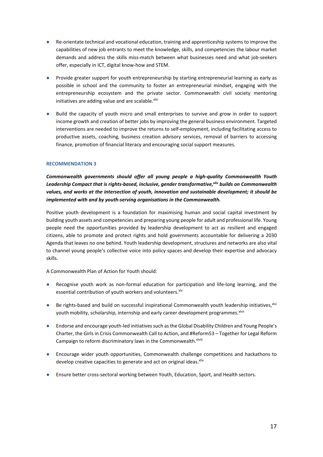- Re-orientate technical and vocational education, training and apprenticeship systems to improve the capabilities of new job entrants to meet the knowledge, skills, and competencies the labour market demands and address the skills miss-match between what businesses need and what job-seekers offer, especially in ICT, digital know-how and STEM.
- Provide greater support for youth entrepreneurship by starting entrepreneurial learning as early as possible in school and the community to foster an entrepreneurial mindset, engaging with the entrepreneurship ecosystem and the private sector. Commonwealth civil society mentoring initiatives are adding value and are scalable.<sup>xliii</sup>
- Build the capacity of youth micro and small enterprises to survive and grow in order to support income growth and creation of better jobs by improving the general business environment. Targeted interventions are needed to improve the returns to self-employment, including facilitating access to productive assets, coaching, business creation advisory services, removal of barriers to accessing finance, promotion of financial literacy and encouraging social support measures.

*Commonwealth governments should offer all young people a high-quality Commonwealth Youth Leadership Compact that is rights-based, inclusive, gender transformative,xliv builds on Commonwealth values, and works at the intersection of youth, innovation and sustainable development; it should be implemented with and by youth-serving organisations in the Commonwealth.*

Positive youth development is a foundation for maximising human and social capital investment by building youth assets and competencies and preparing young people for adult and professional life. Young people need the opportunities provided by leadership development to act as resilient and engaged citizens, able to promote and protect rights and hold governments accountable for delivering a 2030 Agenda that leaves no one behind. Youth leadership development, structures and networks are also vital to channel young people's collective voice into policy spaces and develop their expertise and advocacy skills.

A Commonwealth Plan of Action for Youth should:

- Recognise youth work as non-formal education for participation and life-long learning, and the essential contribution of youth workers and volunteers. xlv
- Be rights-based and build on successful inspirational Commonwealth youth leadership initiatives,<sup>xlvi</sup> youth mobility, scholarship, internship and early career development programmes. Xlvii
- Endorse and encourage youth-led initiatives such as the Global Disability Children and Young People's Charter, the Girls in Crisis Commonwealth Call to Action, and #Reform53 – Together for Legal Reform Campaign to reform discriminatory laws in the Commonwealth. xlviii
- Encourage wider youth opportunities, Commonwealth challenge competitions and hackathons to develop creative capacities to generate and act on original ideas. Xiix
- Ensure better cross-sectoral working between Youth, Education, Sport, and Health sectors.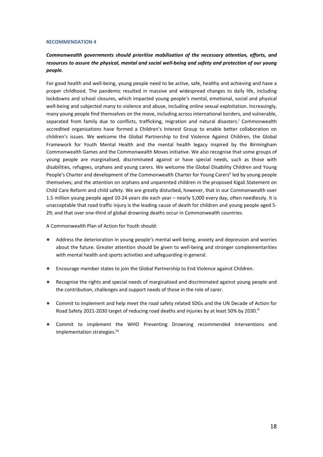#### *Commonwealth governments should prioritise mobilisation of the necessary attention, efforts, and resources to assure the physical, mental and social well-being and safety and protection of our young people.*

For good health and well-being, young people need to be active, safe, healthy and achieving and have a proper childhood. The pandemic resulted in massive and widespread changes to daily life, including lockdowns and school closures, which impacted young people's mental, emotional, social and physical well-being and subjected many to violence and abuse, including online sexual exploitation. Increasingly, many young people find themselves on the move, including across international borders, and vulnerable, separated from family due to conflicts, trafficking, migration and natural disasters.<sup>1</sup> Commonwealth accredited organisations have formed a Children's Interest Group to enable better collaboration on children's issues. We welcome the Global Partnership to End Violence Against Children, the Global Framework for Youth Mental Health and the mental health legacy inspired by the Birmingham Commonwealth Games and the Commonwealth Moves initiative. We also recognise that some groups of young people are marginalised, discriminated against or have special needs, such as those with disabilities, refugees, orphans and young carers. We welcome the Global Disability Children and Young People's Charter and development of the Commonwealth Charter for Young Carers<sup>li</sup> led by young people themselves; and the attention on orphans and unparented children in the proposed Kigali Statement on Child Care Reform and child safety. We are greatly disturbed, however, that in our Commonwealth over 1.5 million young people aged 10-24 years die each year – nearly 5,000 every day, often needlessly. It is unacceptable that road traffic injury is the leading cause of death for children and young people aged 5- 29; and that over one-third of global drowning deaths occur in Commonwealth countries.

A Commonwealth Plan of Action for Youth should:

- Address the deterioration in young people's mental well-being, anxiety and depression and worries about the future. Greater attention should be given to well-being and stronger complementarities with mental health and sports activities and safeguarding in general.
- Encourage member states to join the Global Partnership to End Violence against Children.
- Recognise the rights and special needs of marginalised and discriminated against young people and the contribution, challenges and support needs of those in the role of carer.
- Commit to implement and help meet the road safety related SDGs and the UN Decade of Action for Road Safety 2021-2030 target of reducing road deaths and injuries by at least 50% by 2030.<sup>Iii</sup>
- Commit to implement the WHO Preventing Drowning recommended interventions and implementation strategies.<sup>liii</sup>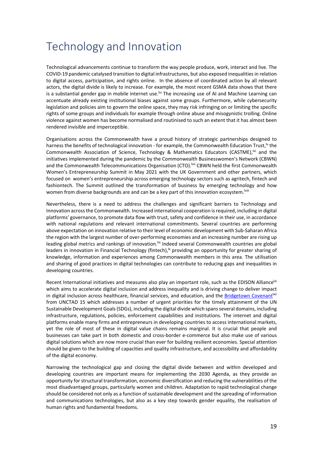## Technology and Innovation

Technological advancements continue to transform the way people produce, work, interact and live. The COVID-19 pandemic catalysed transition to digital infrastructures, but also exposed inequalities in relation to digital access, participation, and rights online. In the absence of coordinated action by all relevant actors, the digital divide is likely to increase. For example, the most recent GSMA data shows that there is a substantial gender gap in mobile internet use.<sup>liv</sup> The increasing use of AI and Machine Learning can accentuate already existing institutional biases against some groups. Furthermore, while cybersecurity legislation and policies aim to govern the online space, they may risk infringing on or limiting the specific rights of some groups and individuals for example through online abuse and misogynistic trolling. Online violence against women has become normalised and routinised to such an extent that it has almost been rendered invisible and imperceptible.

Organisations across the Commonwealth have a proud history of strategic partnerships designed to harness the benefits of technological innovation - for example, the Commonwealth Education Trust,<sup>1</sup> the Commonwealth Association of Science, Technology & Mathematics Educators (CASTME),<sup>Ivi</sup> and the initiatives implemented during the pandemic by the Commonwealth Businesswomen's Network (CBWN) and the Commonwealth Telecommunications Organisation (CTO).<sup>Ivii</sup> CBWN held the first Commonwealth Women's Entrepreneurship Summit in May 2021 with the UK Government and other partners, which focused on women's entrepreneurship across emerging technology sectors such as agritech, fintech and fashiontech. The Summit outlined the transformation of business by emerging technology and how women from diverse backgrounds are and can be a key part of this innovation ecosystem.<sup>Iviii</sup>

Nevertheless, there is a need to address the challenges and significant barriers to Technology and Innovation across the Commonwealth. Increased international cooperation is required, including in digital platforms' governance, to promote data flow with trust, safety and confidence in their use, in accordance with national regulations and relevant international commitments. Several countries are performing above expectation on innovation relative to their level of economic development with Sub-Saharan Africa the region with the largest number of over-performing economies and an increasing number are rising up leading global metrics and rankings of innovation.<sup>Iix</sup> Indeed several Commonwealth countries are global leaders in innovation in Financial Technology (fintech), rowiding an opportunity for greater sharing of knowledge, information and experiences among Commonwealth members in this area. The utilisation and sharing of good practices in digital technologies can contribute to reducing gaps and inequalities in developing countries.

Recent International initiatives and measures also play an important role, such as the EDISON Alliance<sup>|xi</sup> which aims to accelerate digital inclusion and address inequality and is driving change to deliver impact in digital inclusion across healthcare, financial services, and education, and the Bridgetown Covenant<sup>ixii</sup> from UNCTAD 15 which addresses a number of urgent priorities for the timely attainment of the UN Sustainable Development Goals (SDGs), including the digital divide which spans several domains, including infrastructure, regulations, policies, enforcement capabilities and institutions. The internet and digital platforms enable many firms and entrepreneurs in developing countries to access international markets, yet the role of most of these in digital value chains remains marginal. It is crucial that people and businesses can take part in both domestic and cross-border e-commerce but also make use of various digital solutions which are now more crucial than ever for building resilient economies. Special attention should be given to the building of capacities and quality infrastructure, and accessibility and affordability of the digital economy.

Narrowing the technological gap and closing the digital divide between and within developed and developing countries are important means for implementing the 2030 Agenda, as they provide an opportunity for structural transformation, economic diversification and reducing the vulnerabilities of the most disadvantaged groups, particularly women and children. Adaptation to rapid technological change should be considered not only as a function of sustainable development and the spreading of information and communications technologies, but also as a key step towards gender equality, the realisation of human rights and fundamental freedoms.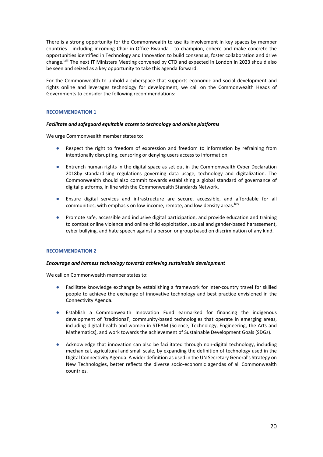There is a strong opportunity for the Commonwealth to use its involvement in key spaces by member countries - including incoming Chair-in-Office Rwanda - to champion, cohere and make concrete the opportunities identified in Technology and Innovation to build consensus, foster collaboration and drive change.<sup>Ixiii</sup> The next IT Ministers Meeting convened by CTO and expected in London in 2023 should also be seen and seized as a key opportunity to take this agenda forward.

For the Commonwealth to uphold a cyberspace that supports economic and social development and rights online and leverages technology for development, we call on the Commonwealth Heads of Governments to consider the following recommendations:

#### **RECOMMENDATION 1**

#### *Facilitate and safeguard equitable access to technology and online platforms*

We urge Commonwealth member states to:

- Respect the right to freedom of expression and freedom to information by refraining from intentionally disrupting, censoring or denying users access to information.
- Entrench human rights in the digital space as set out in the Commonwealth Cyber Declaration 2018by standardising regulations governing data usage, technology and digitalization. The Commonwealth should also commit towards establishing a global standard of governance of digital platforms, in line with the Commonwealth Standards Network.
- Ensure digital services and infrastructure are secure, accessible, and affordable for all communities, with emphasis on low-income, remote, and low-density areas. Ixiv
- Promote safe, accessible and inclusive digital participation, and provide education and training to combat online violence and online child exploitation, sexual and gender-based harassement, cyber bullying, and hate speech against a person or group based on discrimination of any kind.

#### **RECOMMENDATION 2**

#### *Encourage and harness technology towards achieving sustainable development*

We call on Commonwealth member states to:

- Facilitate knowledge exchange by establishing a framework for inter-country travel for skilled people to achieve the exchange of innovative technology and best practice envisioned in the Connectivity Agenda.
- Establish a Commonwealth Innovation Fund earmarked for financing the indigenous development of 'traditional', community-based technologies that operate in emerging areas, including digital health and women in STEAM (Science, Technology, Engineering, the Arts and Mathematics), and work towards the achievement of Sustainable Development Goals (SDGs).
- Acknowledge that innovation can also be facilitated through non-digital technology, including mechanical, agricultural and small scale, by expanding the definition of technology used in the Digital Connectivity Agenda. A wider definition as used in the UN Secretary General's Strategy on New Technologies, better reflects the diverse socio-economic agendas of all Commonwealth countries.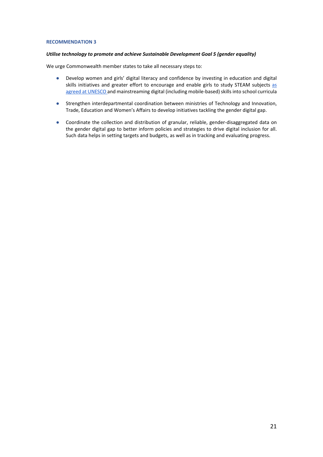#### *Utilise technology to promote and achieve Sustainable Development Goal 5 (gender equality)*

We urge Commonwealth member states to take all necessary steps to:

- Develop women and girls' digital literacy and confidence by investing in education and digital skills initiatives and greater effort to encourage and enable girls to study STEAM subjects as agreed at UNESCO and mainstreaming digital (including mobile-based) skills into school curricula
- Strengthen interdepartmental coordination between ministries of Technology and Innovation, Trade, Education and Women's Affairs to develop initiatives tackling the gender digital gap.
- Coordinate the collection and distribution of granular, reliable, gender-disaggregated data on the gender digital gap to better inform policies and strategies to drive digital inclusion for all. Such data helps in setting targets and budgets, as well as in tracking and evaluating progress.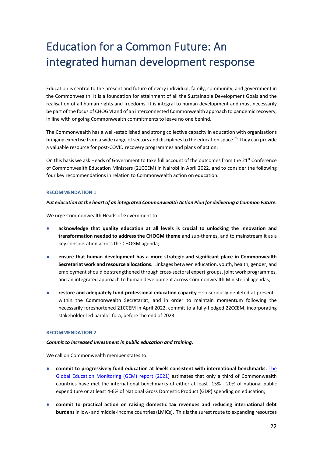# Education for a Common Future: An integrated human development response

Education is central to the present and future of every individual, family, community, and government in the Commonwealth. It is a foundation for attainment of all the Sustainable Development Goals and the realisation of all human rights and freedoms. It is integral to human development and must necessarily be part of the focus of CHOGM and of an interconnected Commonwealth approach to pandemic recovery, in line with ongoing Commonwealth commitments to leave no one behind.

The Commonwealth has a well-established and strong collective capacity in education with organisations bringing expertise from a wide range of sectors and disciplines to the education space.<sup>Ixv</sup> They can provide a valuable resource for post-COVID recovery programmes and plans of action.

On this basis we ask Heads of Government to take full account of the outcomes from the 21<sup>st</sup> Conference of Commonwealth Education Ministers (21CCEM) in Nairobi in April 2022, and to consider the following four key recommendations in relation to Commonwealth action on education.

#### **RECOMMENDATION 1**

#### *Put education at the heart of an integrated Commonwealth Action Plan for delivering a Common Future.*

We urge Commonwealth Heads of Government to:

- acknowledge that quality education at all levels is crucial to unlocking the innovation and **transformation needed to address the CHOGM theme** and sub-themes, and to mainstream it as a key consideration across the CHOGM agenda;
- **ensure that human development has a more strategic and significant place in Commonwealth Secretariat work and resource allocations**. Linkages between education, youth, health, gender, and employment should be strengthened through cross-sectoral expert groups, joint work programmes, and an integrated approach to human development across Commonwealth Ministerial agendas;
- **restore and adequately fund professional education capacity** so seriously depleted at present within the Commonwealth Secretariat; and in order to maintain momentum following the necessarily foreshortened 21CCEM in April 2022, commit to a fully-fledged 22CCEM, incorporating stakeholder-led parallel fora, before the end of 2023.

#### **RECOMMENDATION 2**

#### *Commit to increased investment in public education and training.*

We call on Commonwealth member states to:

- commit to progressively fund education at levels consistent with international benchmarks. The Global Education Monitoring (GEM) report (2021) estimates that only a third of Commonwealth countries have met the international benchmarks of either at least 15% - 20% of national public expenditure or at least 4-6% of National Gross Domestic Product (GDP) spending on education;
- commit to practical action on raising domestic tax revenues and reducing international debt **burdens**in low- and middle-income countries (LMICs). This is the surest route to expanding resources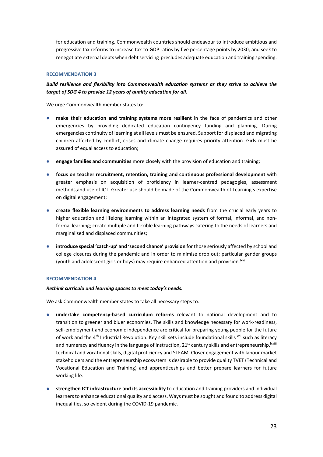for education and training. Commonwealth countries should endeavour to introduce ambitious and progressive tax reforms to increase tax-to-GDP ratios by five percentage points by 2030; and seek to renegotiate external debts when debt servicing precludes adequate education and training spending.

#### **RECOMMENDATION 3**

*Build resilience and flexibility into Commonwealth education systems as they strive to achieve the target of SDG 4 to provide 12 years of quality education for all.*

We urge Commonwealth member states to:

- **make their education and training systems more resilient** in the face of pandemics and other emergencies by providing dedicated education contingency funding and planning. During emergencies continuity of learning at all levels must be ensured. Support for displaced and migrating children affected by conflict, crises and climate change requires priority attention. Girls must be assured of equal access to education;
- **engage families and communities** more closely with the provision of education and training;
- **focus on teacher recruitment, retention, training and continuous professional development** with greater emphasis on acquisition of proficiency in learner-centred pedagogies, assessment methods,and use of ICT. Greater use should be made of the Commonwealth of Learning's expertise on digital engagement;
- **create flexible learning environments to address learning needs** from the crucial early years to higher education and lifelong learning within an integrated system of formal, informal, and nonformal learning; create multiple and flexible learning pathways catering to the needs of learners and marginalised and displaced communities;
- **introduce special 'catch-up' and 'second chance' provision** for those seriously affected by school and college closures during the pandemic and in order to minimise drop out; particular gender groups (youth and adolescent girls or boys) may require enhanced attention and provision.  $I^{xvi}$

#### **RECOMMENDATION 4**

#### *Rethink curricula and learning spaces to meet today's needs.*

We ask Commonwealth member states to take all necessary steps to:

- **undertake competency-based curriculum reforms** relevant to national development and to transition to greener and bluer economies. The skills and knowledge necessary for work-readiness, self-employment and economic independence are critical for preparing young people for the future of work and the 4<sup>th</sup> Industrial Revolution. Key skill sets include foundational skills<sup>lxvii</sup> such as literacy and numeracy and fluency in the language of instruction,  $21^{st}$  century skills and entrepreneurship,  $|x^{\text{will}}|$ technical and vocational skills, digital proficiency and STEAM. Closer engagement with labour market stakeholders and the entrepreneurship ecosystem is desirable to provide quality TVET (Technical and Vocational Education and Training) and apprenticeships and better prepare learners for future working life.
- **strengthen ICT infrastructure and its accessibility** to education and training providers and individual learners to enhance educational quality and access. Ways must be sought and found to address digital inequalities, so evident during the COVID-19 pandemic.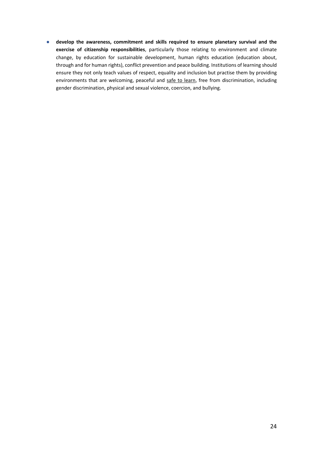● **develop the awareness, commitment and skills required to ensure planetary survival and the exercise of citizenship responsibilities**, particularly those relating to environment and climate change, by education for sustainable development, human rights education (education about, through and for human rights), conflict prevention and peace building. Institutions of learning should ensure they not only teach values of respect, equality and inclusion but practise them by providing environments that are welcoming, peaceful and safe to learn, free from discrimination, including gender discrimination, physical and sexual violence, coercion, and bullying.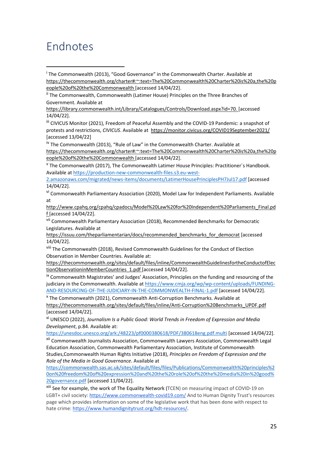### Endnotes

iii CIVICUS Monitor (2021), Freedom of Peaceful Assembly and the COVID-19 Pandemic: a snapshot of protests and restrictions, *CIVICUS*. Available at https://monitor.civicus.org/COVID19September2021/ [accessed 13/04/22]

<sup>iv</sup> The Commonwealth (2013), "Rule of Law" in the Commonwealth Charter. Available at

https://thecommonwealth.org/charter#:~:text=The%20Commonwealth%20Charter%20is%20a,the%20p eople%20of%20the%20Commonwealth [accessed 14/04/22].

 $V$  The Commonwealth (2017), The Commonwealth Latimer House Principles: Practitioner's Handbook. Available at https://production-new-commonwealth-files.s3.eu-west-

2.amazonaws.com/migrated/news-items/documents/LatimerHousePrinciplesPH7Jul17.pdf [accessed 14/04/22].

vi Commonwealth Parliamentary Association (2020), Model Law for Independent Parliaments. Available at

http://www.cpahq.org/cpahq/cpadocs/Model%20Law%20for%20Independent%20Parliaments\_Final.pd f [accessed 14/04/22].

vii Commonwealth Parliamentary Association (2018), Recommended Benchmarks for Democratic Legislatures. Available at

https://issuu.com/theparliamentarian/docs/recommended\_benchmarks\_for\_democrat [accessed 14/04/22].

viii The Commonwealth (2018), Revised Commonwealth Guidelines for the Conduct of Election Observation in Member Countries. Available at:

https://thecommonwealth.org/sites/default/files/inline/CommonwealthGuidelinesfortheConductofElec tionObservationinMemberCountries\_1.pdf [accessed 14/04/22].

ix Commonwealth Magistrates' and Judges' Association, Principles on the funding and resourcing of the judiciary in the Commonwealth. Available at https://www.cmja.org/wp/wp-content/uploads/FUNDING-AND-RESOURCING-OF-THE-JUDICIARY-IN-THE-COMMONWEALTH-FINAL-1.pdf [accessed 14/04/22].

<sup>x</sup> The Commonwealth (2021), Commonwealth Anti-Corruption Benchmarks. Available at https://thecommonwealth.org/sites/default/files/inline/Anti-Corruption%20Benchmarks\_UPDF.pdf [accessed 14/04/22].

xi UNESCO (2022), *Journalism Is a Public Good: World Trends in Freedom of Expression and Media Development*, p.84. Available at:

https://unesdoc.unesco.org/ark:/48223/pf0000380618/PDF/380618eng.pdf.multi [accessed 14/04/22].

xii Commonwealth Journalists Association, Commonwealth Lawyers Association, Commonwealth Legal Education Association, Commonwealth Parliamentary Association, Institute of Commonwealth Studies,Commonwealth Human Rights Initiative (2018), *Principles on Freedom of Expression and the Role of the Media in Good Governance*. Available at

https://commonwealth.sas.ac.uk/sites/default/files/files/Publications/Commonwealth%20principles%2 0on%20freedom%20of%20expression%20and%20the%20role%20of%20the%20media%20in%20good% 20governance.pdf [accessed 11/04/22].

xiii See for example, the work of The Equality Network (TCEN) on measuring impact of COVID-19 on LGBT+ civil society: https://www.commonwealth-covid19.com/ And to Human Dignity Trust's resources page which provides information on some of the legislative work that has been done with respect to hate crime: https://www.humandignitytrust.org/hdt-resources/.

<sup>&</sup>lt;sup>i</sup> The Commonwealth (2013), "Good Governance" in the Commonwealth Charter. Available at https://thecommonwealth.org/charter#:~:text=The%20Commonwealth%20Charter%20is%20a,the%20p eople%20of%20the%20Commonwealth [accessed 14/04/22].

ii The Commonwealth, Commonwealth (Latimer House) Principles on the Three Branches of Government. Available at

https://library.commonwealth.int/Library/Catalogues/Controls/Download.aspx?id=70. [accessed 14/04/22].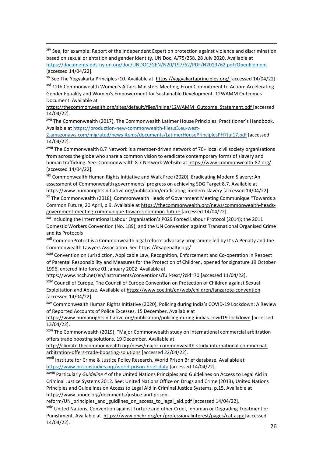xiv See, for example: Report of the Independent Expert on protection against violence and discrimination based on sexual orientation and gender identity, UN Doc. A/75/258, 28 July 2020. Available at https://documents-dds-ny.un.org/doc/UNDOC/GEN/N20/197/62/PDF/N2019762.pdf?OpenElement [accessed 14/04/22].

xv See The Yogyakarta Principles+10. Available at https://yogyakartaprinciples.org/ [accessed 14/04/22].

xvi 12th Commonwealth Women's Affairs Ministers Meeting, From Commitment to Action: Accelerating Gender Equality and Women's Empowerment for Sustainable Development. 12WAMM Outcomes Document. Available at

https://thecommonwealth.org/sites/default/files/inline/12WAMM\_Outcome\_Statement.pdf [accessed 14/04/22].

xvii The Commonwealth (2017), The Commonwealth Latimer House Principles: Practitioner´s Handbook. Available at https://production-new-commonwealth-files.s3.eu-west-

2.amazonaws.com/migrated/news-items/documents/LatimerHousePrinciplesPH7Jul17.pdf [accessed 14/04/22].

xviii The Commonwealth 8.7 Network is a member-driven network of 70+ local civil society organisations from across the globe who share a common vision to eradicate contemporary forms of slavery and human trafficking. See: Commonwealth 8.7 Network Website at https://www.commonwealth-87.org/ [accessed 14/04/22].

xix Commonwealth Human Rights Initiative and Walk Free (2020), Eradicating Modern Slavery: An assessment of Commonwealth governments' progress on achieving SDG Target 8.7. Available at https://www.humanrightsinitiative.org/publication/eradicating-modern-slavery [accessed 14/04/22].

xx The Commonwealth (2018), Commonwealth Heads of Government Meeting Communique "Towards a Common Future, 20 April, p.9. Available at https://thecommonwealth.org/news/commonwealth-headsgovernment-meeting-communique-towards-common-future [accessed 14/04/22].

xxi Including the International Labour Organisation's P029 Forced Labour Protocol (2014); the 2011 Domestic Workers Convention (No. 189); and the UN Convention against Transnational Organised Crime and its Protocols

xxii CommonProtect is a Commonwealth legal reform advocacy programme led by It's A Penalty and the Commonwealth Lawyers Association. See https://itsapenalty.org/

xxiii Convention on Jurisdiction, Applicable Law, Recognition, Enforcement and Co-operation in Respect of Parental Responsibility and Measures for the Protection of Children, opened for signature 19 October 1996, entered into force 01 January 2002. Available at

https://www.hcch.net/en/instruments/conventions/full-text/?cid=70 [accessed 11/04/22].

xxiv Council of Europe, The Council of Europe Convention on Protection of Children against Sexual Exploitation and Abuse. Available at https://www.coe.int/en/web/children/lanzarote-convention [accessed 14/04/22].

xxv Commonwealth Human Rights Initiative (2020), Policing during India's COVID-19 Lockdown: A Review of Reported Accounts of Police Excesses, 15 December. Available at

https://www.humanrightsinitiative.org/publication/policing-during-indias-covid19-lockdown [accessed 13/04/22].

xxvi The Commonwealth (2019), "Major Commonwealth study on international commercial arbitration offers trade boosting solutions, 19 December. Available at

http://climate.thecommonwealth.org/news/major-commonwealth-study-international-commercialarbitration-offers-trade-boosting-solutions [accessed 22/04/22].

xxvii Institute for Crime & Justice Policy Research, World Prison Brief database. Available at https://www.prisonstudies.org/world-prison-brief-data [accessed 14/04/22].

xxviii Particularly *Guideline 4* of the United Nations Principles and Guidelines on Access to Legal Aid in Criminal Justice Systems 2012. See: United Nations Office on Drugs and Crime (2013), United Nations Principles and Guidelines on Access to Legal Aid in Criminal Justice Systems, p.15. Available at https://www.unodc.org/documents/justice-and-prison-

reform/UN\_principles\_and\_guidlines\_on\_access\_to\_legal\_aid.pdf [accessed 14/04/22].

xxix United Nations, Convention against Torture and other Cruel, Inhuman or Degrading Treatment or Punishment. Available at https://www.ohchr.org/en/professionalinterest/pages/cat.aspx [accessed 14/04/22].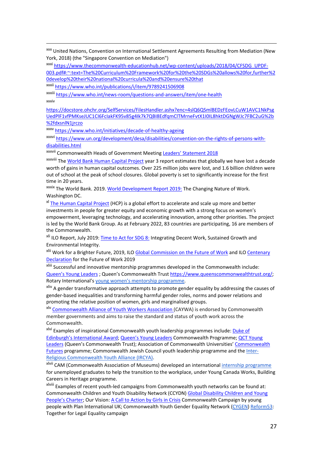xxx United Nations, Convention on International Settlement Agreements Resulting from Mediation (New York, 2018) (the "Singapore Convention on Mediation")

xxxi https://www.thecommonwealth-educationhub.net/wp-content/uploads/2018/04/CFSDG\_UPDF-003.pdf#:~:text=The%20Curriculum%20Framework%20for%20the%20SDGs%20allows%20for,further%2 0develop%20their%20national%20curricula%20and%20ensure%20that

xxxii https://www.who.int/publications/i/item/9789241506908

xxxiii https://www.who.int/news-room/questions-and-answers/item/one-health

xxxiv

https://docstore.ohchr.org/SelfServices/FilesHandler.ashx?enc=4slQ6QSmlBEDzFEovLCuW1AVC1NkPsg UedPlF1vfPMKseJUC1CI6FcIakFK95v85g4Ik7k7QBI8EdfqmClTMrneFvtX1I0IL8hktDGNgWJc7FBC2uG%2b %2fdxsnlN1jrczo

xxxv https://www.who.int/initiatives/decade-of-healthy-ageing

xxxvi https://www.un.org/development/desa/disabilities/convention-on-the-rights-of-persons-withdisabilities.html

xxxvii Commonwealth Heads of Government Meeting Leaders' Statement 2018

xxxviii The World Bank Human Capital Project year 3 report estimates that globally we have lost a decade worth of gains in human capital outcomes. Over 225 million jobs were lost, and 1.6 billion children were out of school at the peak of school closures. Global poverty is set to significantly increase for the first time in 20 years.

xxxix The World Bank. 2019. World Development Report 2019: The Changing Nature of Work. Washington DC.

xl The Human Capital Project (HCP) is a global effort to accelerate and scale up more and better investments in people for greater equity and economic growth with a strong focus on women's empowerment, leveraging technology, and accelerating innovation, among other priorities. The project is led by the World Bank Group. As at February 2022, 83 countries are participating, 16 are members of the Commonwealth.

xli ILO Report, July 2019: Time to Act for SDG 8: Integrating Decent Work, Sustained Growth and Environmental Integrity.

xlii Work for a Brighter Future, 2019, ILO Global Commission on the Future of Work and ILO Centenary Declaration for the Future of Work 2019

xliii Successful and innovative mentorship programmes developed in the Commonwealth include: Queen's Young Leaders ; Queen's Commonwealth Trust https://www.queenscommonwealthtrust.org/; Rotary International's young women's mentorship programme.

<sup>xliv</sup> A gender transformative approach attempts to promote gender equality by addressing the causes of gender-based inequalities and transforming harmful gender roles, norms and power relations and promoting the relative position of women, girls and marginalised groups.

xlv Commonwealth Alliance of Youth Workers Association (CAYWA) is endorsed by Commonwealth member governments and aims to raise the standard and status of youth work across the Commonwealth.

xlvi Examples of inspirational Commonwealth youth leadership programmes include: Duke of Edinburgh's International Award; Queen's Young Leaders Commonwealth Programme; QCT Young Leaders (Queen's Commonwealth Trust); Association of Commonwealth Universities' Commonwealth Futures programme; Commonwealth Jewish Council youth leadership programme and the **Inter-**Religious Commonwealth Youth Alliance (IRCYA).

x<sup>lvii</sup> CAM (Commonwealth Association of Museums) developed an international *internship programme* for unemployed graduates to help the transition to the workplace, under Young Canada Works, Building Careers in Heritage programme.

xlviii Examples of recent youth-led campaigns from Commonwealth youth networks can be found at: Commonwealth Children and Youth Disability Network (CCYDN) Global Disability Children and Young People's Charter; Our Vision: A Call to Action by Girls in Crisis Commonwealth Campaign by young people with Plan International UK; Commonwealth Youth Gender Equality Network (CYGEN) Reform53: Together for Legal Equality campaign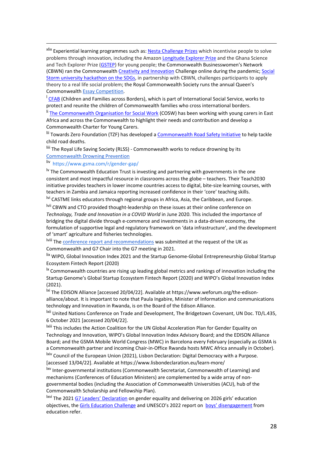xlix Experiential learning programmes such as: Nesta Challenge Prizes which incentivise people to solve problems through innovation, including the Amazon Longitude Explorer Prize and the Ghana Science and Tech Explorer Prize (GSTEP) for young people; the Commonwealth Businesswomen's Network (CBWN) ran the Commonwealth Creativity and Innovation Challenge online during the pandemic; Social Storm university hackathon on the SDGs, in partnership with CBWN, challenges participants to apply theory to a real life social problem; the Royal Commonwealth Society runs the annual Queen's Commonwealth Essay Competition.

<sup>1</sup> CFAB (Children and Families across Borders), which is part of International Social Service, works to protect and reunite the children of Commonwealth families who cross international borders.

<sup>li</sup> The Commonwealth Organisation for Social Work (COSW) has been working with young carers in East Africa and across the Commonwealth to highlight their needs and contribution and develop a Commonwealth Charter for Young Carers.

lii Towards Zero Foundation (TZF) has developed a Commonwealth Road Safety Initiative to help tackle child road deaths.

liii The Royal Life Saving Society (RLSS) - Commonwealth works to reduce drowning by its Commonwealth Drowning Prevention

#### liv https://www.gsma.com/r/gender-gap/

 $\mu$  The Commonwealth Education Trust is investing and partnering with governments in the one consistent and most impactful resource in classrooms across the globe – teachers. Their Teach2030 initiative provides teachers in lower income countries access to digital, bite-size learning courses, with teachers in Zambia and Jamaica reporting increased confidence in their 'core' teaching skills.

lvi CASTME links educators through regional groups in Africa, Asia, the Caribbean, and Europe.

lvii CBWN and CTO provided thought-leadership on these issues at their online conference on *Technology, Trade and Innovation in a COVID World* in June 2020. This included the importance of bridging the digital divide through e-commerce and investments in a data-driven economy, the formulation of supportive legal and regulatory framework on 'data infrastructure', and the development of 'smart' agriculture and fisheries technologies.

lviii The conference report and recommendations was submitted at the request of the UK as Commonwealth and G7 Chair into the G7 meeting in 2021.

lix WIPO, Global Innovation Index 2021 and the Startup Genome-Global Entrepreneurship Global Startup Ecosystem Fintech Report (2020)

 $\frac{1}{x}$  Commonwealth countries are rising up leading global metrics and rankings of innovation including the Startup Genome's Global Startup Ecosystem Fintech Report (2020) and WIPO's Global Innovation Index (2021).

lxi The EDISON Alliance [accessed 20/04/22]. Available at https://www.weforum.org/the-edisonalliance/about. It is important to note that Paula Ingabire, Minister of Information and communications technology and Innovation in Rwanda, is on the Board of the Edison Alliance.

lxii United Nations Conference on Trade and Development, The Bridgetown Covenant, UN Doc. TD/L.435, 6 October 2021 [accessed 20/04/22].

lxiii This includes the Action Coalition for the UN Global Acceleration Plan for Gender Equality on Technology and Innovation, WIPO's Global Innovation Index Advisory Board; and the EDISON Alliance Board; and the GSMA Mobile World Congress (MWC) in Barcelona every February (especially as GSMA is a Commonwealth partner and incoming Chair-in-Office Rwanda hosts MWC Africa annually in October).

<sup>lxiv</sup> Council of the European Union (2021), Lisbon Declaration: Digital Democracy with a Purpose. [accessed 13/04/22]. Available at https://www.lisbondeclaration.eu/learn-more/

lxv Inter-governmental institutions (Commonwealth Secretariat, Commonwealth of Learning) and mechanisms (Conferences of Education Ministers) are complemented by a wide array of nongovernmental bodies (including the Association of Commonwealth Universities (ACU), hub of the Commonwealth Scholarship and Fellowship Plan).

<sup>lxvi</sup> The 2021 G7 Leaders' Declaration on gender equality and delivering on 2026 girls' education objectives, the Girls Education Challenge and UNESCO's 2022 report on boys' disengagement from education refer.